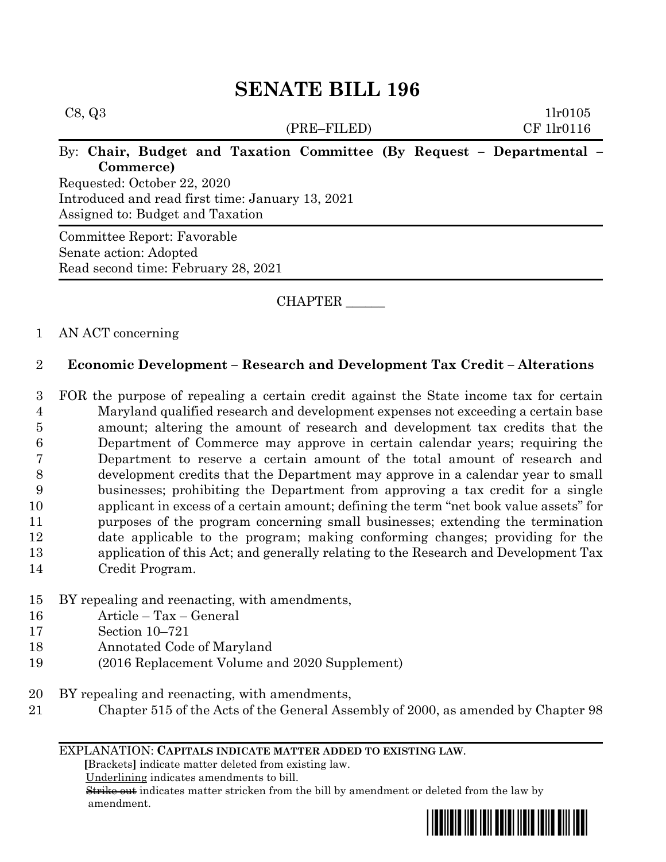| C8, Q3<br>(PRE–FILED)                                                                                                                                                                                     | 11r0105<br>CF 1lr0116 |
|-----------------------------------------------------------------------------------------------------------------------------------------------------------------------------------------------------------|-----------------------|
| By: Chair, Budget and Taxation Committee (By Request - Departmental -<br>Commerce)<br>Requested: October 22, 2020<br>Introduced and read first time: January 13, 2021<br>Assigned to: Budget and Taxation |                       |
| Committee Report: Favorable<br>Senate action: Adopted<br>Read second time: February 28, 2021                                                                                                              |                       |

CHAPTER \_\_\_\_\_\_

## 1 AN ACT concerning

## 2 **Economic Development – Research and Development Tax Credit – Alterations**

 FOR the purpose of repealing a certain credit against the State income tax for certain Maryland qualified research and development expenses not exceeding a certain base amount; altering the amount of research and development tax credits that the Department of Commerce may approve in certain calendar years; requiring the Department to reserve a certain amount of the total amount of research and development credits that the Department may approve in a calendar year to small businesses; prohibiting the Department from approving a tax credit for a single applicant in excess of a certain amount; defining the term "net book value assets" for purposes of the program concerning small businesses; extending the termination date applicable to the program; making conforming changes; providing for the application of this Act; and generally relating to the Research and Development Tax Credit Program.

- 15 BY repealing and reenacting, with amendments,
- 16 Article Tax General
- 17 Section 10–721
- 18 Annotated Code of Maryland
- 19 (2016 Replacement Volume and 2020 Supplement)
- 20 BY repealing and reenacting, with amendments,
- 21 Chapter 515 of the Acts of the General Assembly of 2000, as amended by Chapter 98

## EXPLANATION: **CAPITALS INDICATE MATTER ADDED TO EXISTING LAW**.

 **[**Brackets**]** indicate matter deleted from existing law.

Underlining indicates amendments to bill.

 Strike out indicates matter stricken from the bill by amendment or deleted from the law by amendment.

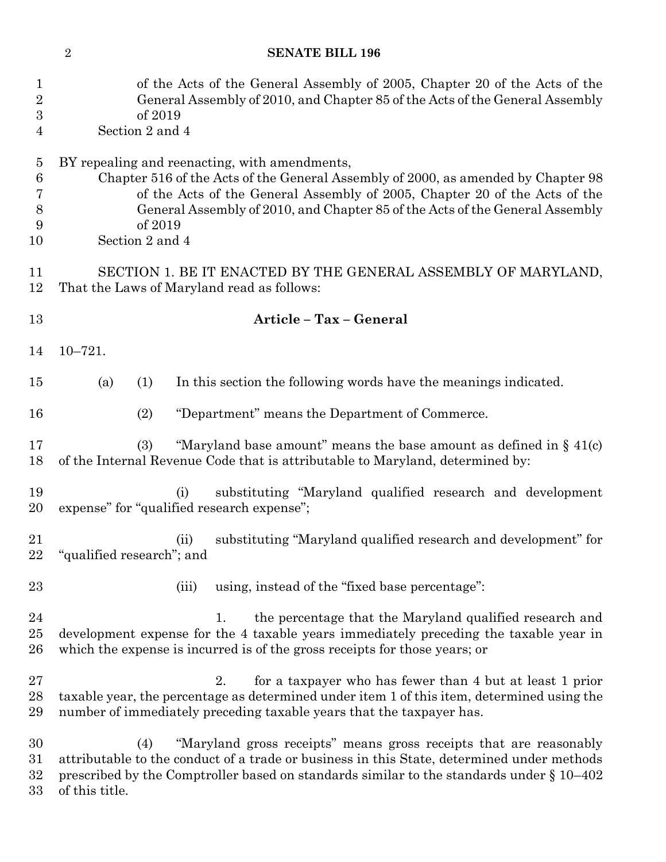| $\mathbf{1}$<br>$\sqrt{2}$<br>$\boldsymbol{3}$<br>$\overline{4}$ | of the Acts of the General Assembly of 2005, Chapter 20 of the Acts of the<br>General Assembly of 2010, and Chapter 85 of the Acts of the General Assembly<br>of 2019<br>Section 2 and 4                                                                                                                                       |
|------------------------------------------------------------------|--------------------------------------------------------------------------------------------------------------------------------------------------------------------------------------------------------------------------------------------------------------------------------------------------------------------------------|
| $\overline{5}$<br>$\,6$<br>7<br>$8\,$<br>9<br>10                 | BY repealing and reenacting, with amendments,<br>Chapter 516 of the Acts of the General Assembly of 2000, as amended by Chapter 98<br>of the Acts of the General Assembly of 2005, Chapter 20 of the Acts of the<br>General Assembly of 2010, and Chapter 85 of the Acts of the General Assembly<br>of 2019<br>Section 2 and 4 |
| 11<br>12                                                         | SECTION 1. BE IT ENACTED BY THE GENERAL ASSEMBLY OF MARYLAND,<br>That the Laws of Maryland read as follows:                                                                                                                                                                                                                    |
| 13                                                               | Article - Tax - General                                                                                                                                                                                                                                                                                                        |
| 14                                                               | $10 - 721.$                                                                                                                                                                                                                                                                                                                    |
| 15                                                               | In this section the following words have the meanings indicated.<br>(a)<br>(1)                                                                                                                                                                                                                                                 |
| 16                                                               | "Department" means the Department of Commerce.<br>(2)                                                                                                                                                                                                                                                                          |
| 17<br>18                                                         | "Maryland base amount" means the base amount as defined in $\S$ 41(c)<br>(3)<br>of the Internal Revenue Code that is attributable to Maryland, determined by:                                                                                                                                                                  |
| 19<br>20                                                         | substituting "Maryland qualified research and development<br>(i)<br>expense" for "qualified research expense";                                                                                                                                                                                                                 |
| 21                                                               | substituting "Maryland qualified research and development" for<br>(ii)<br>22 "qualified research"; and                                                                                                                                                                                                                         |
| 23                                                               | using, instead of the "fixed base percentage":<br>(iii)                                                                                                                                                                                                                                                                        |
| 24<br>25<br>26                                                   | the percentage that the Maryland qualified research and<br>1.<br>development expense for the 4 taxable years immediately preceding the taxable year in<br>which the expense is incurred is of the gross receipts for those years; or                                                                                           |
| 27<br>28<br>29                                                   | for a taxpayer who has fewer than 4 but at least 1 prior<br>2.<br>taxable year, the percentage as determined under item 1 of this item, determined using the<br>number of immediately preceding taxable years that the taxpayer has.                                                                                           |
| 30<br>31<br>32<br>33                                             | "Maryland gross receipts" means gross receipts that are reasonably<br>(4)<br>attributable to the conduct of a trade or business in this State, determined under methods<br>prescribed by the Comptroller based on standards similar to the standards under § 10-402<br>of this title.                                          |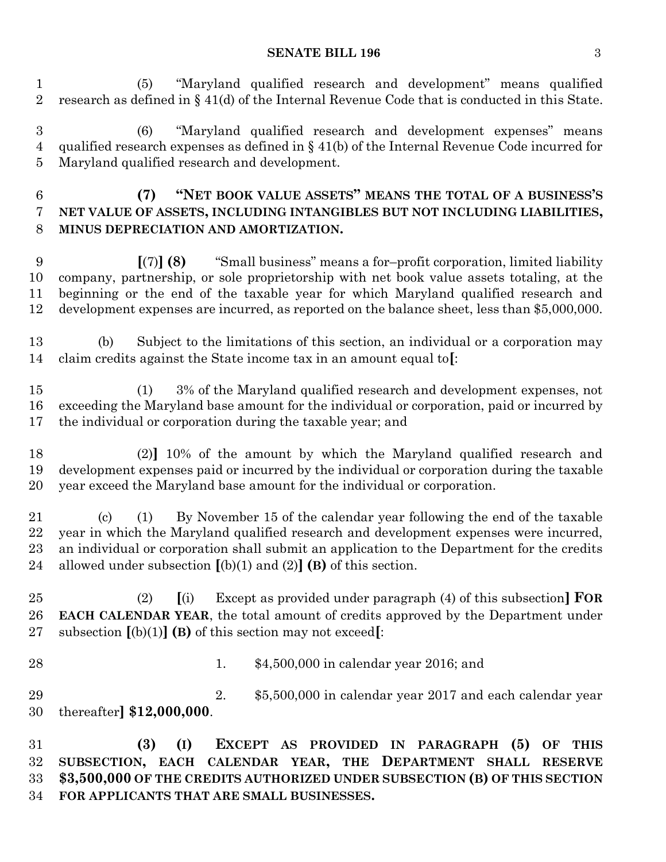(5) "Maryland qualified research and development" means qualified research as defined in § 41(d) of the Internal Revenue Code that is conducted in this State.

 (6) "Maryland qualified research and development expenses" means qualified research expenses as defined in § 41(b) of the Internal Revenue Code incurred for Maryland qualified research and development.

 **(7) "NET BOOK VALUE ASSETS" MEANS THE TOTAL OF A BUSINESS'S NET VALUE OF ASSETS, INCLUDING INTANGIBLES BUT NOT INCLUDING LIABILITIES, MINUS DEPRECIATION AND AMORTIZATION.**

 **[**(7)**] (8)** "Small business" means a for–profit corporation, limited liability company, partnership, or sole proprietorship with net book value assets totaling, at the beginning or the end of the taxable year for which Maryland qualified research and development expenses are incurred, as reported on the balance sheet, less than \$5,000,000.

 (b) Subject to the limitations of this section, an individual or a corporation may claim credits against the State income tax in an amount equal to**[**:

 (1) 3% of the Maryland qualified research and development expenses, not exceeding the Maryland base amount for the individual or corporation, paid or incurred by the individual or corporation during the taxable year; and

 (2)**]** 10% of the amount by which the Maryland qualified research and development expenses paid or incurred by the individual or corporation during the taxable year exceed the Maryland base amount for the individual or corporation.

 (c) (1) By November 15 of the calendar year following the end of the taxable year in which the Maryland qualified research and development expenses were incurred, an individual or corporation shall submit an application to the Department for the credits allowed under subsection **[**(b)(1) and (2)**] (B)** of this section.

 (2) **[**(i) Except as provided under paragraph (4) of this subsection**] FOR EACH CALENDAR YEAR**, the total amount of credits approved by the Department under subsection **[**(b)(1)**] (B)** of this section may not exceed**[**:

1. \$4,500,000 in calendar year 2016; and

 2. \$5,500,000 in calendar year 2017 and each calendar year thereafter**] \$12,000,000**.

 **(3) (I) EXCEPT AS PROVIDED IN PARAGRAPH (5) OF THIS SUBSECTION, EACH CALENDAR YEAR, THE DEPARTMENT SHALL RESERVE \$3,500,000 OF THE CREDITS AUTHORIZED UNDER SUBSECTION (B) OF THIS SECTION FOR APPLICANTS THAT ARE SMALL BUSINESSES.**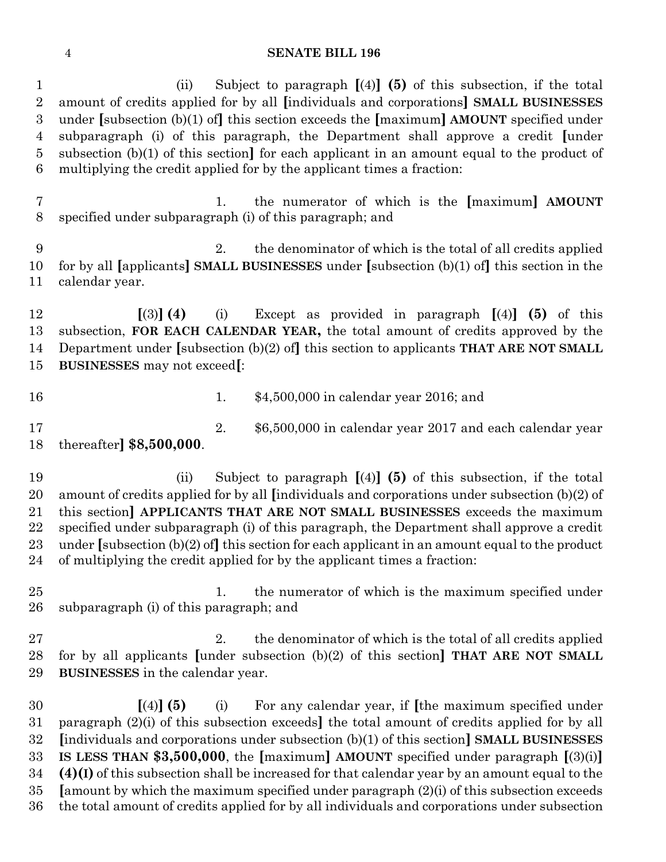| $\mathbf{1}$<br>$\overline{2}$<br>3<br>$\overline{4}$<br>$\overline{5}$<br>6 | Subject to paragraph $[(4)]$ (5) of this subsection, if the total<br>(ii)<br>amount of credits applied for by all [individuals and corporations] SMALL BUSINESSES<br>under [subsection $(b)(1)$ of] this section exceeds the [maximum] AMOUNT specified under<br>subparagraph (i) of this paragraph, the Department shall approve a credit [under<br>subsection $(b)(1)$ of this section] for each applicant in an amount equal to the product of<br>multiplying the credit applied for by the applicant times a fraction:            |
|------------------------------------------------------------------------------|---------------------------------------------------------------------------------------------------------------------------------------------------------------------------------------------------------------------------------------------------------------------------------------------------------------------------------------------------------------------------------------------------------------------------------------------------------------------------------------------------------------------------------------|
| $\overline{7}$<br>8                                                          | the numerator of which is the [maximum] AMOUNT<br>1.<br>specified under subparagraph (i) of this paragraph; and                                                                                                                                                                                                                                                                                                                                                                                                                       |
| 9<br>10<br>11                                                                | the denominator of which is the total of all credits applied<br>2.<br>for by all [applicants] SMALL BUSINESSES under [subsection $(b)(1)$ of] this section in the<br>calendar year.                                                                                                                                                                                                                                                                                                                                                   |
| 12<br>13<br>14<br>$15\,$                                                     | $(3)$ (4)<br>Except as provided in paragraph $\left[ (4) \right]$ (5) of this<br>(i)<br>subsection, FOR EACH CALENDAR YEAR, the total amount of credits approved by the<br>Department under [subsection $(b)(2)$ of] this section to applicants THAT ARE NOT SMALL<br><b>BUSINESSES</b> may not exceed[:                                                                                                                                                                                                                              |
| 16                                                                           | \$4,500,000 in calendar year 2016; and<br>1.                                                                                                                                                                                                                                                                                                                                                                                                                                                                                          |
| 17<br>18                                                                     | 2.<br>\$6,500,000 in calendar year 2017 and each calendar year<br>thereafter $$8,500,000$ .                                                                                                                                                                                                                                                                                                                                                                                                                                           |
| 19<br>20<br>21<br>22<br>$23\,$<br>24                                         | Subject to paragraph $[(4)]$ (5) of this subsection, if the total<br>(ii)<br>amount of credits applied for by all [individuals and corporations under subsection (b)(2) of<br>this section] APPLICANTS THAT ARE NOT SMALL BUSINESSES exceeds the maximum<br>specified under subparagraph (i) of this paragraph, the Department shall approve a credit<br>under [subsection $(b)(2)$ of] this section for each applicant in an amount equal to the product<br>of multiplying the credit applied for by the applicant times a fraction: |
| 25<br>26                                                                     | the numerator of which is the maximum specified under<br>1.<br>subparagraph (i) of this paragraph; and                                                                                                                                                                                                                                                                                                                                                                                                                                |
| 27<br>28<br>29                                                               | 2.<br>the denominator of which is the total of all credits applied<br>for by all applicants [under subsection $(b)(2)$ of this section] THAT ARE NOT SMALL<br><b>BUSINESSES</b> in the calendar year.                                                                                                                                                                                                                                                                                                                                 |
| 30<br>$31\,$<br>$32\,$<br>33<br>34                                           | $[(4)]$ (5)<br>For any calendar year, if the maximum specified under<br>(i)<br>paragraph (2)(i) of this subsection exceeds the total amount of credits applied for by all<br>[individuals and corporations under subsection (b)(1) of this section] SMALL BUSINESSES<br>IS LESS THAN \$3,500,000, the [maximum] AMOUNT specified under paragraph $[(3)(i)]$<br>$(4)(I)$ of this subsection shall be increased for that calendar year by an amount equal to the                                                                        |

 **[**amount by which the maximum specified under paragraph (2)(i) of this subsection exceeds the total amount of credits applied for by all individuals and corporations under subsection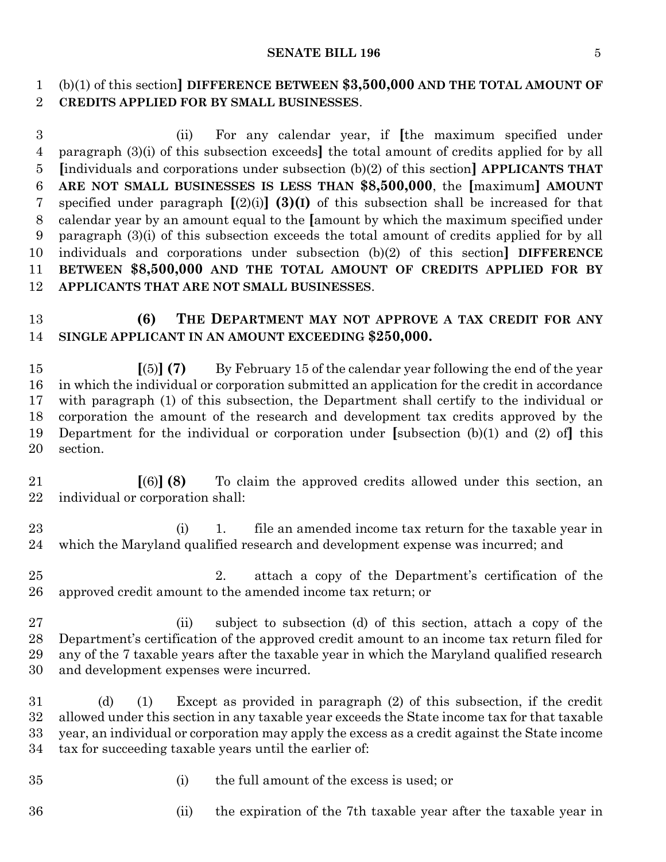### **SENATE BILL 196** 5

(b)(1) of this section**] DIFFERENCE BETWEEN \$3,500,000 AND THE TOTAL AMOUNT OF** 

**CREDITS APPLIED FOR BY SMALL BUSINESSES**.

 (ii) For any calendar year, if **[**the maximum specified under paragraph (3)(i) of this subsection exceeds**]** the total amount of credits applied for by all **[**individuals and corporations under subsection (b)(2) of this section**] APPLICANTS THAT ARE NOT SMALL BUSINESSES IS LESS THAN \$8,500,000**, the **[**maximum**] AMOUNT** specified under paragraph **[**(2)(i)**] (3)(I)** of this subsection shall be increased for that calendar year by an amount equal to the **[**amount by which the maximum specified under paragraph (3)(i) of this subsection exceeds the total amount of credits applied for by all individuals and corporations under subsection (b)(2) of this section**] DIFFERENCE BETWEEN \$8,500,000 AND THE TOTAL AMOUNT OF CREDITS APPLIED FOR BY APPLICANTS THAT ARE NOT SMALL BUSINESSES**.

# **(6) THE DEPARTMENT MAY NOT APPROVE A TAX CREDIT FOR ANY SINGLE APPLICANT IN AN AMOUNT EXCEEDING \$250,000.**

 **[**(5)**] (7)** By February 15 of the calendar year following the end of the year in which the individual or corporation submitted an application for the credit in accordance with paragraph (1) of this subsection, the Department shall certify to the individual or corporation the amount of the research and development tax credits approved by the Department for the individual or corporation under **[**subsection (b)(1) and (2) of**]** this section.

 **[**(6)**] (8)** To claim the approved credits allowed under this section, an individual or corporation shall:

 (i) 1. file an amended income tax return for the taxable year in which the Maryland qualified research and development expense was incurred; and

 2. attach a copy of the Department's certification of the approved credit amount to the amended income tax return; or

 (ii) subject to subsection (d) of this section, attach a copy of the Department's certification of the approved credit amount to an income tax return filed for any of the 7 taxable years after the taxable year in which the Maryland qualified research and development expenses were incurred.

 (d) (1) Except as provided in paragraph (2) of this subsection, if the credit allowed under this section in any taxable year exceeds the State income tax for that taxable year, an individual or corporation may apply the excess as a credit against the State income tax for succeeding taxable years until the earlier of:

- 
- (i) the full amount of the excess is used; or

(ii) the expiration of the 7th taxable year after the taxable year in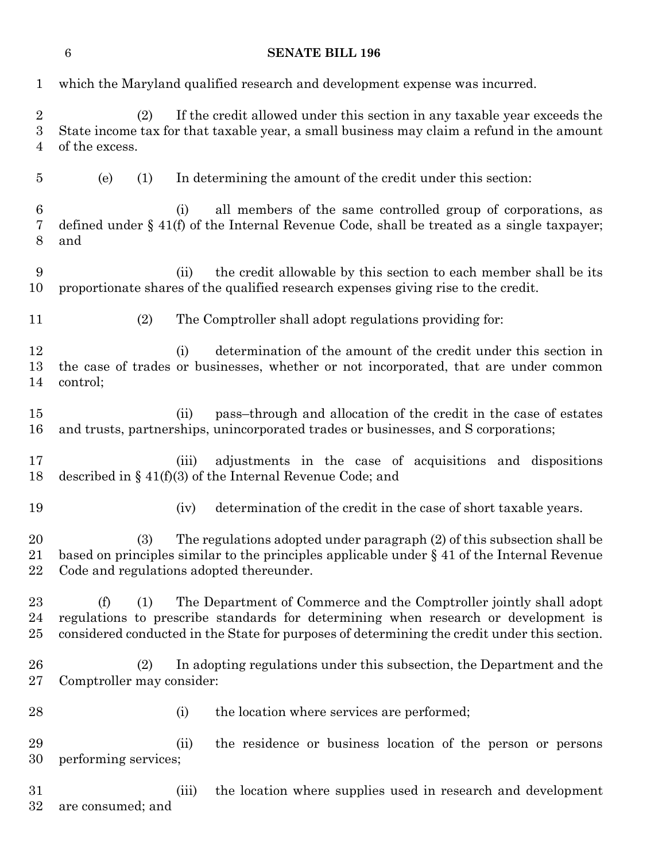# **SENATE BILL 196** which the Maryland qualified research and development expense was incurred. (2) If the credit allowed under this section in any taxable year exceeds the State income tax for that taxable year, a small business may claim a refund in the amount of the excess. (e) (1) In determining the amount of the credit under this section: (i) all members of the same controlled group of corporations, as defined under § 41(f) of the Internal Revenue Code, shall be treated as a single taxpayer; and (ii) the credit allowable by this section to each member shall be its proportionate shares of the qualified research expenses giving rise to the credit. (2) The Comptroller shall adopt regulations providing for: 12 (i) determination of the amount of the credit under this section in the case of trades or businesses, whether or not incorporated, that are under common control; (ii) pass–through and allocation of the credit in the case of estates and trusts, partnerships, unincorporated trades or businesses, and S corporations; (iii) adjustments in the case of acquisitions and dispositions described in § 41(f)(3) of the Internal Revenue Code; and (iv) determination of the credit in the case of short taxable years. (3) The regulations adopted under paragraph (2) of this subsection shall be based on principles similar to the principles applicable under § 41 of the Internal Revenue Code and regulations adopted thereunder. (f) (1) The Department of Commerce and the Comptroller jointly shall adopt regulations to prescribe standards for determining when research or development is considered conducted in the State for purposes of determining the credit under this section. (2) In adopting regulations under this subsection, the Department and the Comptroller may consider: 28 (i) the location where services are performed; (ii) the residence or business location of the person or persons performing services; (iii) the location where supplies used in research and development are consumed; and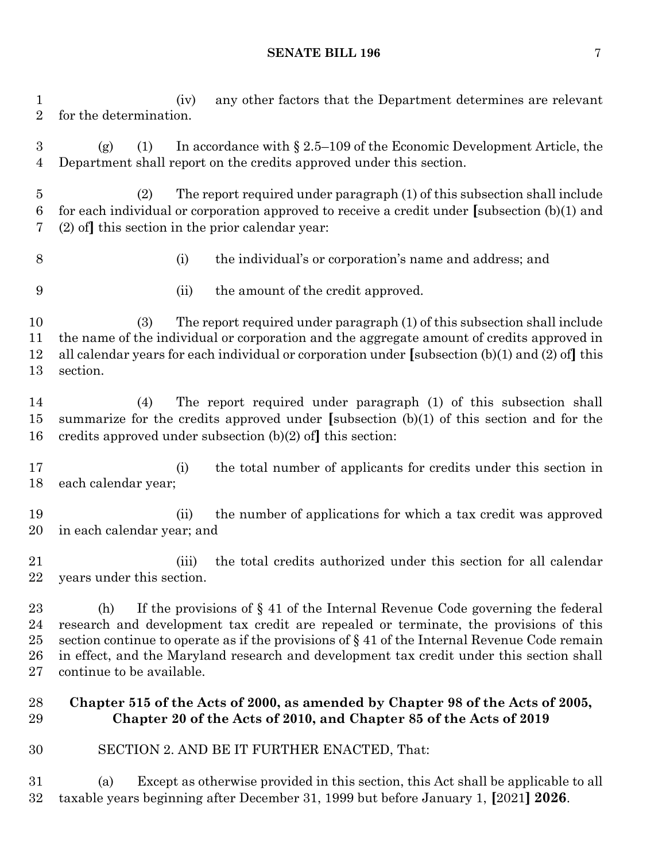### **SENATE BILL 196** 7

 (iv) any other factors that the Department determines are relevant for the determination.

 (g) (1) In accordance with § 2.5–109 of the Economic Development Article, the Department shall report on the credits approved under this section.

 (2) The report required under paragraph (1) of this subsection shall include for each individual or corporation approved to receive a credit under **[**subsection (b)(1) and (2) of**]** this section in the prior calendar year:

(i) the individual's or corporation's name and address; and

(ii) the amount of the credit approved.

 (3) The report required under paragraph (1) of this subsection shall include the name of the individual or corporation and the aggregate amount of credits approved in all calendar years for each individual or corporation under **[**subsection (b)(1) and (2) of**]** this section.

 (4) The report required under paragraph (1) of this subsection shall summarize for the credits approved under **[**subsection (b)(1) of this section and for the credits approved under subsection (b)(2) of**]** this section:

 (i) the total number of applicants for credits under this section in each calendar year;

 (ii) the number of applications for which a tax credit was approved in each calendar year; and

 (iii) the total credits authorized under this section for all calendar years under this section.

 (h) If the provisions of § 41 of the Internal Revenue Code governing the federal research and development tax credit are repealed or terminate, the provisions of this 25 section continue to operate as if the provisions of  $\S 41$  of the Internal Revenue Code remain in effect, and the Maryland research and development tax credit under this section shall continue to be available.

## **Chapter 515 of the Acts of 2000, as amended by Chapter 98 of the Acts of 2005, Chapter 20 of the Acts of 2010, and Chapter 85 of the Acts of 2019**

SECTION 2. AND BE IT FURTHER ENACTED, That:

 (a) Except as otherwise provided in this section, this Act shall be applicable to all taxable years beginning after December 31, 1999 but before January 1, **[**2021**] 2026**.